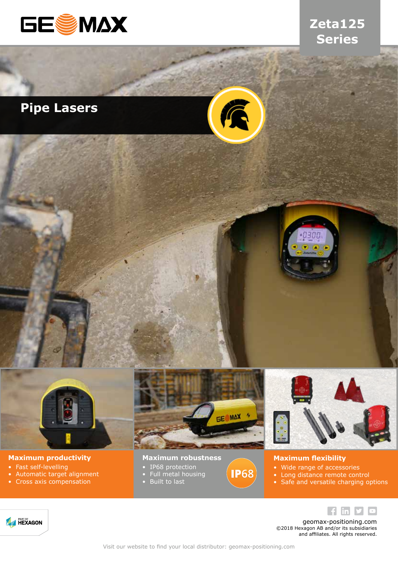

### **Zeta125 Series**

## **Pipe Lasers**





#### **Maximum productivity**

- Fast self-levelling<br>• Automatic target
- Automatic target alignment
- Cross axis compensation



**IP68** 

#### **Maximum robustness**

- IP68 protection
- Full metal housing
- Built to last



#### **Maximum flexibility**

- Wide range of accessories<br>• Long distance remote cont
- Long distance remote control
- Safe and versatile charging options



geomax-positioning.com ©2018 Hexagon AB and/or its subsidiaries and affiliates. All rights reserved.